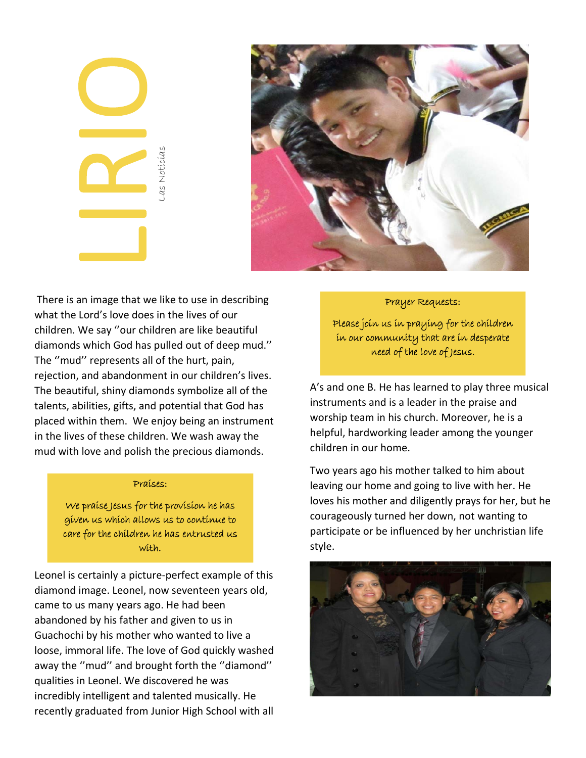Las Noticias AS NOTICIAS



There is an image that we like to use in describing what the Lord's love does in the lives of our children. We say ''our children are like beautiful diamonds which God has pulled out of deep mud.'' The ''mud'' represents all of the hurt, pain, rejection, and abandonment in our children's lives. The beautiful, shiny diamonds symbolize all of the talents, abilities, gifts, and potential that God has placed within them. We enjoy being an instrument in the lives of these children. We wash away the mud with love and polish the precious diamonds.

## Praises:

We praise Jesus for the provision he has given us which allows us to continue to care for the children he has entrusted us with.

Leonel is certainly a picture‐perfect example of this diamond image. Leonel, now seventeen years old, came to us many years ago. He had been abandoned by his father and given to us in Guachochi by his mother who wanted to live a loose, immoral life. The love of God quickly washed away the ''mud'' and brought forth the ''diamond'' qualities in Leonel. We discovered he was incredibly intelligent and talented musically. He recently graduated from Junior High School with all

## Prayer Requests:

Please join us in praying for the children in our community that are in desperate need of the love of Jesus.

A's and one B. He has learned to play three musical instruments and is a leader in the praise and worship team in his church. Moreover, he is a helpful, hardworking leader among the younger children in our home.

Two years ago his mother talked to him about leaving our home and going to live with her. He loves his mother and diligently prays for her, but he courageously turned her down, not wanting to participate or be influenced by her unchristian life style.